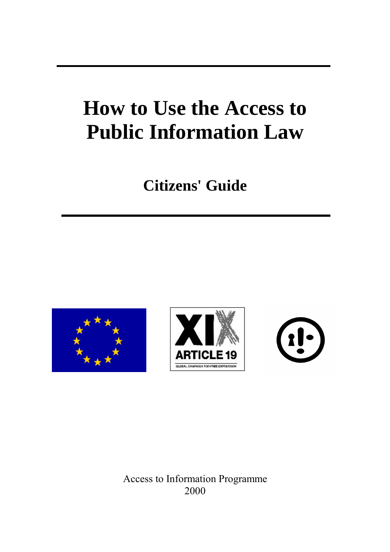# **How to Use the Access to Public Information Law**

## **Citizens' Guide**







Access to Information Programme 2000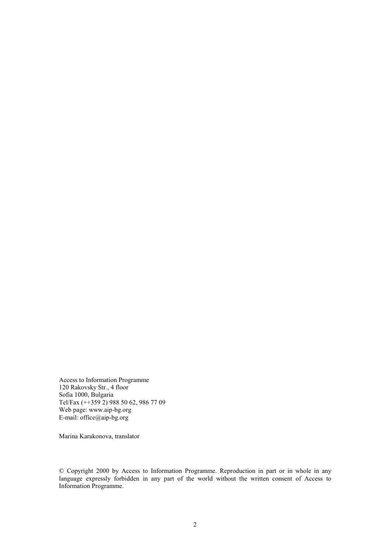Access to Information Programme 120 Rakovsky Str., 4 floor Sofia 1000, Bulgaria Tel/Fax (++359 2) 988 50 62, 986 77 09 Web page: www.aip-bg.org E-mail: office@aip-bg.org

Marina Karakonova, translator

© Copyright 2000 by Access to Information Programme. Reproduction in part or in whole in any language expressly forbidden in any part of the world without the written consent of Access to Information Programme.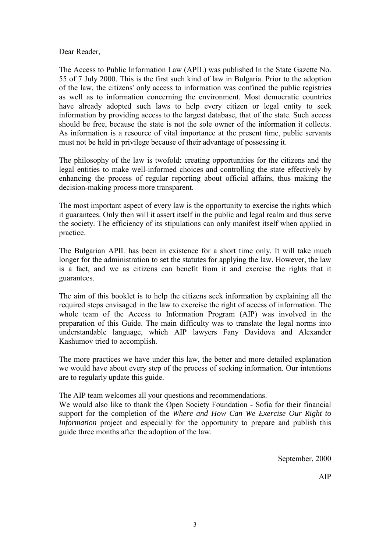Dear Reader,

The Access to Public Information Law (APIL) was published In the State Gazette No. 55 of 7 July 2000. This is the first such kind of law in Bulgaria. Prior to the adoption of the law, the citizens' only access to information was confined the public registries as well as to information concerning the environment. Most democratic countries have already adopted such laws to help every citizen or legal entity to seek information by providing access to the largest database, that of the state. Such access should be free, because the state is not the sole owner of the information it collects. As information is a resource of vital importance at the present time, public servants must not be held in privilege because of their advantage of possessing it.

The philosophy of the law is twofold: creating opportunities for the citizens and the legal entities to make well-informed choices and controlling the state effectively by enhancing the process of regular reporting about official affairs, thus making the decision-making process more transparent.

The most important aspect of every law is the opportunity to exercise the rights which it guarantees. Only then will it assert itself in the public and legal realm and thus serve the society. The efficiency of its stipulations can only manifest itself when applied in practice.

The Bulgarian APIL has been in existence for a short time only. It will take much longer for the administration to set the statutes for applying the law. However, the law is a fact, and we as citizens can benefit from it and exercise the rights that it guarantees.

The aim of this booklet is to help the citizens seek information by explaining all the required steps envisaged in the law to exercise the right of access of information. The whole team of the Access to Information Program (AIP) was involved in the preparation of this Guide. The main difficulty was to translate the legal norms into understandable language, which AIP lawyers Fany Davidova and Alexander Kashumov tried to accomplish.

The more practices we have under this law, the better and more detailed explanation we would have about every step of the process of seeking information. Our intentions are to regularly update this guide.

The AIP team welcomes all your questions and recommendations.

We would also like to thank the Open Society Foundation - Sofia for their financial support for the completion of the *Where and How Can We Exercise Our Right to Information* project and especially for the opportunity to prepare and publish this guide three months after the adoption of the law.

September, 2000

AIP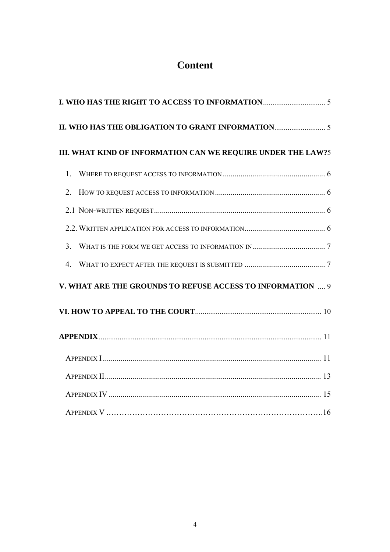## **Content**

| III. WHAT KIND OF INFORMATION CAN WE REQUIRE UNDER THE LAW?5 |  |
|--------------------------------------------------------------|--|
| 1.                                                           |  |
| 2 <sub>1</sub>                                               |  |
|                                                              |  |
|                                                              |  |
|                                                              |  |
| $\overline{4}$ .                                             |  |
| V. WHAT ARE THE GROUNDS TO REFUSE ACCESS TO INFORMATION  9   |  |
|                                                              |  |
|                                                              |  |
|                                                              |  |
|                                                              |  |
|                                                              |  |
|                                                              |  |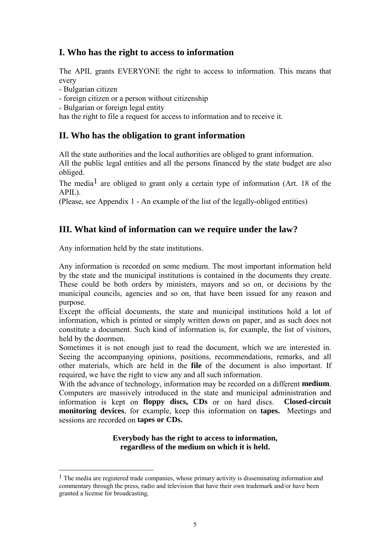## **I. Who has the right to access to information**

The APIL grants EVERYONE the right to access to information. This means that every

- Bulgarian citizen

 $\overline{a}$ 

- foreign citizen or a person without citizenship
- Bulgarian or foreign legal entity

has the right to file a request for access to information and to receive it.

## **II. Who has the obligation to grant information**

All the state authorities and the local authorities are obliged to grant information. All the public legal entities and all the persons financed by the state budget are also obliged.

The media<sup>1</sup> are obliged to grant only a certain type of information (Art. 18 of the APIL).

(Please, see Appendix 1 - An example of the list of the legally-obliged entities)

## **III. What kind of information can we require under the law?**

Any information held by the state institutions.

Any information is recorded on some medium. The most important information held by the state and the municipal institutions is contained in the documents they create. These could be both orders by ministers, mayors and so on, or decisions by the municipal councils, agencies and so on, that have been issued for any reason and purpose.

Except the official documents, the state and municipal institutions hold a lot of information, which is printed or simply written down on paper, and as such does not constitute a document. Such kind of information is, for example, the list of visitors, held by the doormen.

Sometimes it is not enough just to read the document, which we are interested in. Seeing the accompanying opinions, positions, recommendations, remarks, and all other materials, which are held in the **file** of the document is also important. If required, we have the right to view any and all such information.

With the advance of technology, information may be recorded on a different **medium**. Computers are massively introduced in the state and municipal administration and information is kept on **floppy discs, CDs** or on hard discs. **Closed-circuit monitoring devices**, for example, keep this information on **tapes.** Meetings and sessions are recorded on **tapes or CDs.** 

## **Everybody has the right to access to information, regardless of the medium on which it is held.**

 $<sup>1</sup>$  The media are registered trade companies, whose primary activity is disseminating information and</sup> commentary through the press, radio and television that have their own trademark and/or have been granted a license for broadcasting.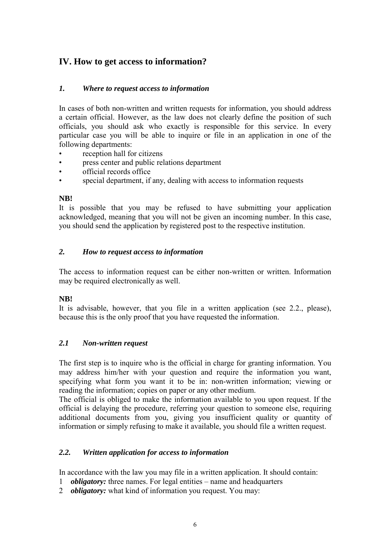## **IV. How to get access to information?**

## *1. Where to request access to information*

In cases of both non-written and written requests for information, you should address a certain official. However, as the law does not clearly define the position of such officials, you should ask who exactly is responsible for this service. In every particular case you will be able to inquire or file in an application in one of the following departments:

- reception hall for citizens
- press center and public relations department
- official records office
- special department, if any, dealing with access to information requests

## **NB!**

It is possible that you may be refused to have submitting your application acknowledged, meaning that you will not be given an incoming number. In this case, you should send the application by registered post to the respective institution.

## *2. How to request access to information*

The access to information request can be either non-written or written. Information may be required electronically as well.

## **NB!**

It is advisable, however, that you file in a written application (see 2.2., please), because this is the only proof that you have requested the information.

## *2.1 Non-written request*

The first step is to inquire who is the official in charge for granting information. You may address him/her with your question and require the information you want, specifying what form you want it to be in: non-written information; viewing or reading the information; copies on paper or any other medium.

The official is obliged to make the information available to you upon request. If the official is delaying the procedure, referring your question to someone else, requiring additional documents from you, giving you insufficient quality or quantity of information or simply refusing to make it available, you should file a written request.

## *2.2. Written application for access to information*

In accordance with the law you may file in a written application. It should contain:

- 1 *obligatory:* three names. For legal entities name and headquarters
- 2 *obligatory:* what kind of information you request. You may: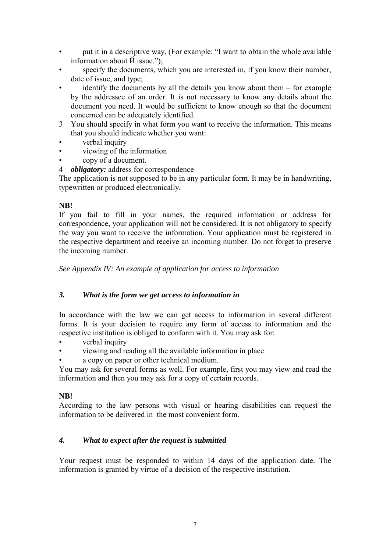- put it in a descriptive way, (For example: "I want to obtain the whole available information about Й.issue.");
- specify the documents, which you are interested in, if you know their number, date of issue, and type;
- $\phi$  identify the documents by all the details you know about them for example by the addressee of an order. It is not necessary to know any details about the document you need. It would be sufficient to know enough so that the document concerned can be adequately identified.
- 3 You should specify in what form you want to receive the information. This means that you should indicate whether you want:
- verbal inquiry
- viewing of the information
- copy of a document.
- 4 *obligatory:* address for correspondence

The application is not supposed to be in any particular form. It may be in handwriting, typewritten or produced electronically.

## **NB!**

If you fail to fill in your names, the required information or address for correspondence, your application will not be considered. It is not obligatory to specify the way you want to receive the information. Your application must be registered in the respective department and receive an incoming number. Do not forget to preserve the incoming number.

*See Appendix IV: An example of application for access to information* 

## *3. What is the form we get access to information in*

In accordance with the law we can get access to information in several different forms. It is your decision to require any form of access to information and the respective institution is obliged to conform with it. You may ask for:

- verbal inquiry
- viewing and reading all the available information in place
- a copy on paper or other technical medium.

You may ask for several forms as well. For example, first you may view and read the information and then you may ask for a copy of certain records.

## **NB!**

According to the law persons with visual or hearing disabilities can request the information to be delivered in the most convenient form.

## *4. What to expect after the request is submitted*

Your request must be responded to within 14 days of the application date. The information is granted by virtue of a decision of the respective institution.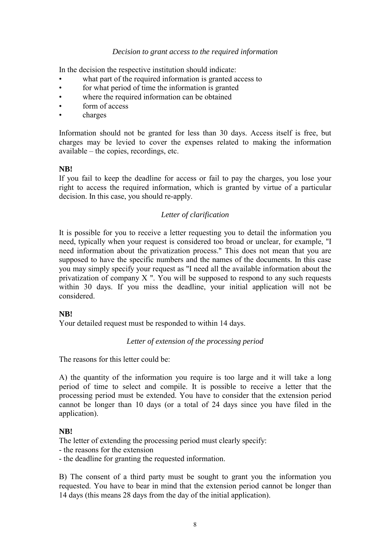## *Decision to grant access to the required information*

In the decision the respective institution should indicate:

- what part of the required information is granted access to
- for what period of time the information is granted
- where the required information can be obtained
- form of access
- charges

Information should not be granted for less than 30 days. Access itself is free, but charges may be levied to cover the expenses related to making the information available – the copies, recordings, etc.

#### **NB!**

If you fail to keep the deadline for access or fail to pay the charges, you lose your right to access the required information, which is granted by virtue of a particular decision. In this case, you should re-apply.

## *Letter of clarification*

It is possible for you to receive a letter requesting you to detail the information you need, typically when your request is considered too broad or unclear, for example, "I need information about the privatization process." This does not mean that you are supposed to have the specific numbers and the names of the documents. In this case you may simply specify your request as "I need all the available information about the privatization of company X ". You will be supposed to respond to any such requests within 30 days. If you miss the deadline, your initial application will not be considered.

## **NB!**

Your detailed request must be responded to within 14 days.

## *Letter of extension of the processing period*

The reasons for this letter could be:

A) the quantity of the information you require is too large and it will take a long period of time to select and compile. It is possible to receive a letter that the processing period must be extended. You have to consider that the extension period cannot be longer than 10 days (or a total of 24 days since you have filed in the application).

## **NB!**

The letter of extending the processing period must clearly specify:

- the reasons for the extension

- the deadline for granting the requested information.

B) The consent of a third party must be sought to grant you the information you requested. You have to bear in mind that the extension period cannot be longer than 14 days (this means 28 days from the day of the initial application).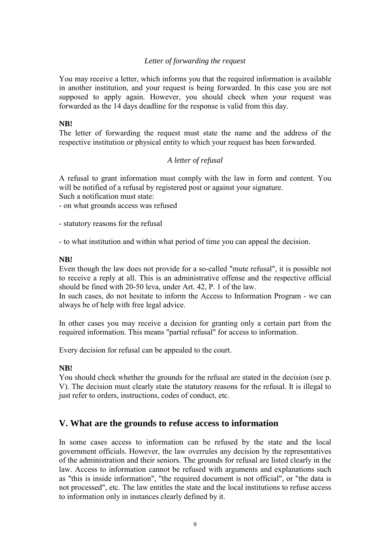## *Letter of forwarding the request*

You may receive a letter, which informs you that the required information is available in another institution, and your request is being forwarded. In this case you are not supposed to apply again. However, you should check when your request was forwarded as the 14 days deadline for the response is valid from this day.

## **NB!**

The letter of forwarding the request must state the name and the address of the respective institution or physical entity to which your request has been forwarded.

#### *A letter of refusal*

A refusal to grant information must comply with the law in form and content. You will be notified of a refusal by registered post or against your signature.

Such a notification must state:

- on what grounds access was refused

- statutory reasons for the refusal

- to what institution and within what period of time you can appeal the decision.

#### **NB!**

Even though the law does not provide for a so-called "mute refusal", it is possible not to receive a reply at all. This is an administrative offense and the respective official should be fined with 20-50 leva, under Art. 42, P. 1 of the law.

In such cases, do not hesitate to inform the Access to Information Program - we can always be of help with free legal advice.

In other cases you may receive a decision for granting only a certain part from the required information. This means "partial refusal" for access to information.

Every decision for refusal can be appealed to the court.

## **NB!**

You should check whether the grounds for the refusal are stated in the decision (see p. V). The decision must clearly state the statutory reasons for the refusal. It is illegal to just refer to orders, instructions, codes of conduct, etc.

## **V. What are the grounds to refuse access to information**

In some cases access to information can be refused by the state and the local government officials. However, the law overrules any decision by the representatives of the administration and their seniors. The grounds for refusal are listed clearly in the law. Access to information cannot be refused with arguments and explanations such as "this is inside information", "the required document is not official", or "the data is not processed", etc. The law entitles the state and the local institutions to refuse access to information only in instances clearly defined by it.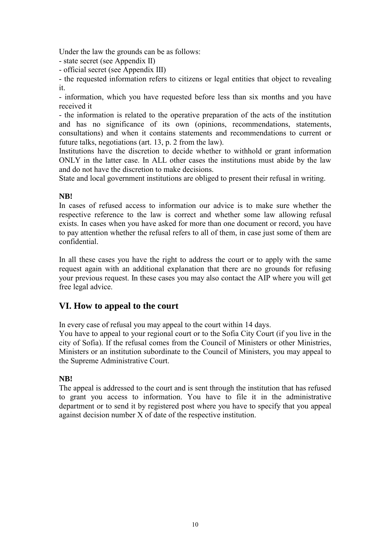Under the law the grounds can be as follows:

- state secret (see Appendix II)
- official secret (see Appendix III)

- the requested information refers to citizens or legal entities that object to revealing it.

- information, which you have requested before less than six months and you have received it

- the information is related to the operative preparation of the acts of the institution and has no significance of its own (opinions, recommendations, statements, consultations) and when it contains statements and recommendations to current or future talks, negotiations (art. 13, p. 2 from the law).

Institutions have the discretion to decide whether to withhold or grant information ONLY in the latter case. In ALL other cases the institutions must abide by the law and do not have the discretion to make decisions.

State and local government institutions are obliged to present their refusal in writing.

## **NB!**

In cases of refused access to information our advice is to make sure whether the respective reference to the law is correct and whether some law allowing refusal exists. In cases when you have asked for more than one document or record, you have to pay attention whether the refusal refers to all of them, in case just some of them are confidential.

In all these cases you have the right to address the court or to apply with the same request again with an additional explanation that there are no grounds for refusing your previous request. In these cases you may also contact the AIP where you will get free legal advice.

## **VI. How to appeal to the court**

In every case of refusal you may appeal to the court within 14 days.

You have to appeal to your regional court or to the Sofia City Court (if you live in the city of Sofia). If the refusal comes from the Council of Ministers or other Ministries, Ministers or an institution subordinate to the Council of Ministers, you may appeal to the Supreme Administrative Court.

## **NB!**

The appeal is addressed to the court and is sent through the institution that has refused to grant you access to information. You have to file it in the administrative department or to send it by registered post where you have to specify that you appeal against decision number X of date of the respective institution.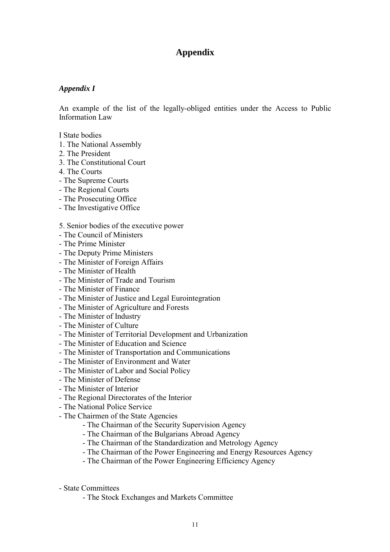## **Appendix**

## *Appendix I*

An example of the list of the legally-obliged entities under the Access to Public Information Law

I State bodies

- 1. The National Assembly
- 2. The President
- 3. The Constitutional Court
- 4. The Courts
- The Supreme Courts
- The Regional Courts
- The Prosecuting Office
- The Investigative Office

#### 5. Senior bodies of the executive power

- The Council of Ministers
- The Prime Minister
- The Deputy Prime Ministers
- The Minister of Foreign Affairs
- The Minister of Health
- The Minister of Trade and Tourism
- The Minister of Finance
- The Minister of Justice and Legal Eurointegration
- The Minister of Agriculture and Forests
- The Minister of Industry
- The Minister of Culture
- The Minister of Territorial Development and Urbanization
- The Minister of Education and Science
- The Minister of Transportation and Communications
- The Minister of Environment and Water
- The Minister of Labor and Social Policy
- The Minister of Defense
- The Minister of Interior
- The Regional Directorates of the Interior
- The National Police Service
- The Chairmen of the State Agencies
	- The Chairman of the Security Supervision Agency
	- The Chairman of the Bulgarians Abroad Agency
	- The Chairman of the Standardization and Metrology Agency
	- The Chairman of the Power Engineering and Energy Resources Agency
	- The Chairman of the Power Engineering Efficiency Agency
- State Committees
	- The Stock Exchanges and Markets Committee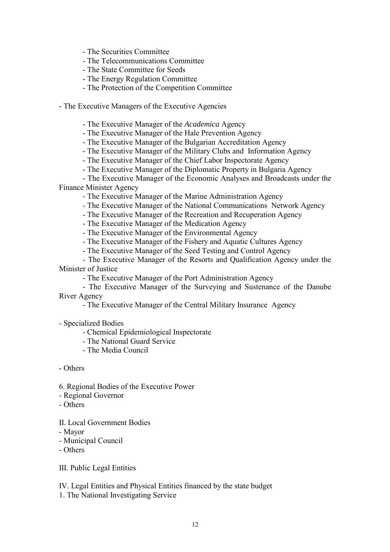- The Securities Committee
- The Telecommunications Committee
- The State Committee for Seeds
- The Energy Regulation Committee
- The Protection of the Competition Committee

- The Executive Managers of the Executive Agencies

- The Executive Manager of the *Academica* Agency
- The Executive Manager of the Hale Prevention Agency
- The Executive Manager of the Bulgarian Accreditation Agency
- The Executive Manager of the Military Clubs and Information Agency
- The Executive Manager of the Chief Labor Inspectorate Agency
- The Executive Manager of the Diplomatic Property in Bulgaria Agency
- The Executive Manager of the Economic Analyses and Broadcasts under the Finance Minister Agency
	- The Executive Manager of the Marine Administration Agency
	- The Executive Manager of the National Communications Network Agency
	- The Executive Manager of the Recreation and Recuperation Agency
	- The Executive Manager of the Medication Agency
	- The Executive Manager of the Environmental Agency
	- The Executive Manager of the Fishery and Aquatic Cultures Agency
	- The Executive Manager of the Seed Testing and Control Agency

 - The Executive Manager of the Resorts and Qualification Agency under the Minister of Justice

- The Executive Manager of the Port Administration Agency
- The Executive Manager of the Surveying and Sustenance of the Danube River Agency
	- The Executive Manager of the Central Military Insurance Agency

- Specialized Bodies

- Chemical Epidemiological Inspectorate
- The National Guard Service
- The Media Council

- Others

- 6. Regional Bodies of the Executive Power
- Regional Governor
- Others
- II. Local Government Bodies
- Mayor
- Municipal Council
- Others

III. Public Legal Entities

IV. Legal Entities and Physical Entities financed by the state budget 1. The National Investigating Service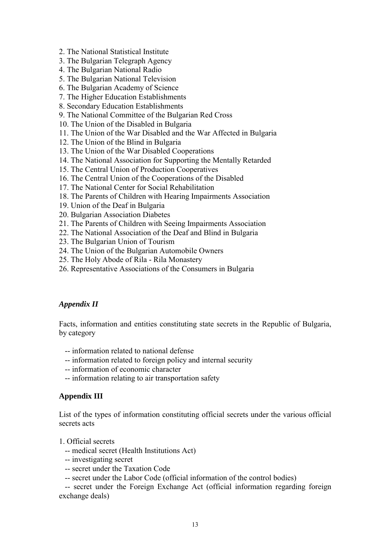- 2. The National Statistical Institute
- 3. The Bulgarian Telegraph Agency
- 4. The Bulgarian National Radio
- 5. The Bulgarian National Television
- 6. The Bulgarian Academy of Science
- 7. The Higher Education Establishments
- 8. Secondary Education Establishments
- 9. The National Committee of the Bulgarian Red Cross
- 10. The Union of the Disabled in Bulgaria
- 11. The Union of the War Disabled and the War Affected in Bulgaria
- 12. The Union of the Blind in Bulgaria
- 13. The Union of the War Disabled Cooperations
- 14. The National Association for Supporting the Mentally Retarded
- 15. The Central Union of Production Cooperatives
- 16. The Central Union of the Cooperations of the Disabled
- 17. The National Center for Social Rehabilitation
- 18. The Parents of Children with Hearing Impairments Association
- 19. Union of the Deaf in Bulgaria
- 20. Bulgarian Association Diabetes
- 21. The Parents of Children with Seeing Impairments Association
- 22. The National Association of the Deaf and Blind in Bulgaria
- 23. The Bulgarian Union of Tourism
- 24. The Union of the Bulgarian Automobile Owners
- 25. The Holy Abode of Rila Rila Monastery
- 26. Representative Associations of the Consumers in Bulgaria

## *Appendix II*

Facts, information and entities constituting state secrets in the Republic of Bulgaria, by category

- -- information related to national defense
- -- information related to foreign policy and internal security
- -- information of economic character
- -- information relating to air transportation safety

## **Appendix III**

List of the types of information constituting official secrets under the various official secrets acts

- 1. Official secrets
	- -- medical secret (Health Institutions Act)
	- -- investigating secret
	- -- secret under the Taxation Code
	- -- secret under the Labor Code (official information of the control bodies)

 -- secret under the Foreign Exchange Act (official information regarding foreign exchange deals)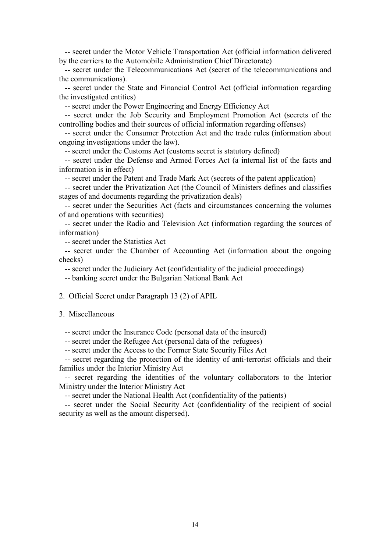-- secret under the Motor Vehicle Transportation Act (official information delivered by the carriers to the Automobile Administration Chief Directorate)

 -- secret under the Telecommunications Act (secret of the telecommunications and the communications).

 -- secret under the State and Financial Control Act (official information regarding the investigated entities)

-- secret under the Power Engineering and Energy Efficiency Act

 -- secret under the Job Security and Employment Promotion Act (secrets of the controlling bodies and their sources of official information regarding offenses)

 -- secret under the Consumer Protection Act and the trade rules (information about ongoing investigations under the law).

-- secret under the Customs Act (customs secret is statutory defined)

 -- secret under the Defense and Armed Forces Act (a internal list of the facts and information is in effect)

-- secret under the Patent and Trade Mark Act (secrets of the patent application)

 -- secret under the Privatization Act (the Council of Ministers defines and classifies stages of and documents regarding the privatization deals)

 -- secret under the Securities Act (facts and circumstances concerning the volumes of and operations with securities)

 -- secret under the Radio and Television Act (information regarding the sources of information)

-- secret under the Statistics Act

 -- secret under the Chamber of Accounting Act (information about the ongoing checks)

-- secret under the Judiciary Act (confidentiality of the judicial proceedings)

-- banking secret under the Bulgarian National Bank Act

2. Official Secret under Paragraph 13 (2) of APIL

3. Miscellaneous

-- secret under the Insurance Code (personal data of the insured)

-- secret under the Refugee Act (personal data of the refugees)

-- secret under the Access to the Former State Security Files Act

 -- secret regarding the protection of the identity of anti-terrorist officials and their families under the Interior Ministry Act

 -- secret regarding the identities of the voluntary collaborators to the Interior Ministry under the Interior Ministry Act

-- secret under the National Health Act (confidentiality of the patients)

 -- secret under the Social Security Act (confidentiality of the recipient of social security as well as the amount dispersed).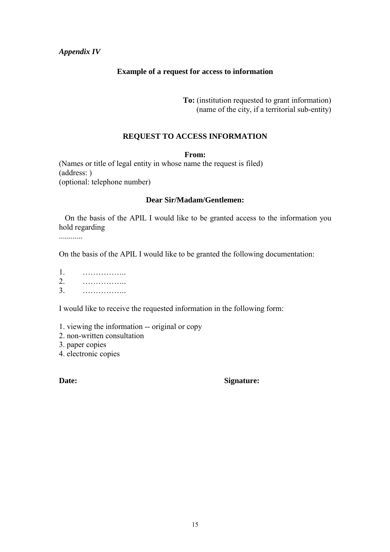## *Appendix IV*

## **Example of a request for access to information**

**To:** (institution requested to grant information) (name of the city, if a territorial sub-entity)

## **REQUEST TO ACCESS INFORMATION**

#### **From:**

(Names or title of legal entity in whose name the request is filed) (address: ) (optional: telephone number)

## **Dear Sir/Madam/Gentlemen:**

 On the basis of the APIL I would like to be granted access to the information you hold regarding

............

On the basis of the APIL I would like to be granted the following documentation:

| 1.      | . |  |  |  |  |  |  |  |  |  |
|---------|---|--|--|--|--|--|--|--|--|--|
| 2.      | . |  |  |  |  |  |  |  |  |  |
| 3.<br>. |   |  |  |  |  |  |  |  |  |  |

I would like to receive the requested information in the following form:

- 1. viewing the information -- original or copy
- 2. non-written consultation
- 3. paper copies
- 4. electronic copies

## **Date: Signature:**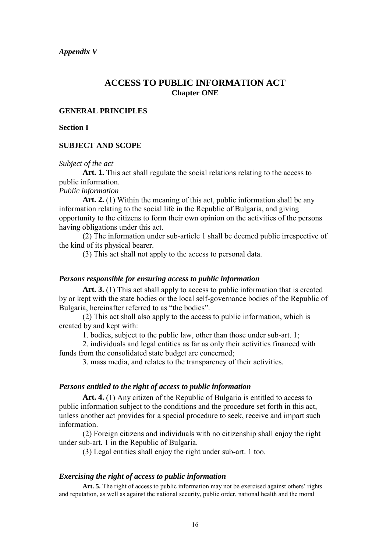## **ACCESS TO PUBLIC INFORMATION ACT Chapter ONE**

## **GENERAL PRINCIPLES**

#### **Section I**

#### **SUBJECT AND SCOPE**

#### *Subject of the act*

**Art. 1.** This act shall regulate the social relations relating to the access to public information.

*Public information* 

**Art. 2.** (1) Within the meaning of this act, public information shall be any information relating to the social life in the Republic of Bulgaria, and giving opportunity to the citizens to form their own opinion on the activities of the persons having obligations under this act.

 (2) The information under sub-article 1 shall be deemed public irrespective of the kind of its physical bearer.

(3) This act shall not apply to the access to personal data.

#### *Persons responsible for ensuring access to public information*

**Art. 3.** (1) This act shall apply to access to public information that is created by or kept with the state bodies or the local self-governance bodies of the Republic of Bulgaria, hereinafter referred to as "the bodies".

 (2) This act shall also apply to the access to public information, which is created by and kept with:

1. bodies, subject to the public law, other than those under sub-art. 1;

 2. individuals and legal entities as far as only their activities financed with funds from the consolidated state budget are concerned;

3. mass media, and relates to the transparency of their activities.

#### *Persons entitled to the right of access to public information*

**Art. 4.** (1) Any citizen of the Republic of Bulgaria is entitled to access to public information subject to the conditions and the procedure set forth in this act, unless another act provides for a special procedure to seek, receive and impart such information.

 (2) Foreign citizens and individuals with no citizenship shall enjoy the right under sub-art. 1 in the Republic of Bulgaria.

(3) Legal entities shall enjoy the right under sub-art. 1 too.

#### *Exercising the right of access to public information*

Art. 5. The right of access to public information may not be exercised against others' rights and reputation, as well as against the national security, public order, national health and the moral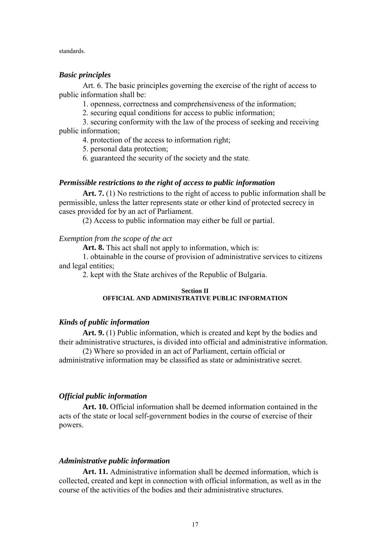standards.

#### *Basic principles*

Art. 6. The basic principles governing the exercise of the right of access to public information shall be:

1. openness, correctness and comprehensiveness of the information;

2. securing equal conditions for access to public information;

 3. securing conformity with the law of the process of seeking and receiving public information;

4. protection of the access to information right;

5. personal data protection;

6. guaranteed the security of the society and the state.

## *Permissible restrictions to the right of access to public information*

**Art. 7.** (1) No restrictions to the right of access to public information shall be permissible, unless the latter represents state or other kind of protected secrecy in cases provided for by an act of Parliament.

(2) Access to public information may either be full or partial.

*Exemption from the scope of the act* 

Art. 8. This act shall not apply to information, which is:

 1. obtainable in the course of provision of administrative services to citizens and legal entities;

2. kept with the State archives of the Republic of Bulgaria.

#### **Section II OFFICIAL AND ADMINISTRATIVE PUBLIC INFORMATION**

## *Kinds of public information*

**Art. 9.** (1) Public information, which is created and kept by the bodies and their administrative structures, is divided into official and administrative information.

 (2) Where so provided in an act of Parliament, certain official or administrative information may be classified as state or administrative secret.

## *Official public information*

**Art. 10.** Official information shall be deemed information contained in the acts of the state or local self-government bodies in the course of exercise of their powers.

#### *Administrative public information*

**Art. 11.** Administrative information shall be deemed information, which is collected, created and kept in connection with official information, as well as in the course of the activities of the bodies and their administrative structures.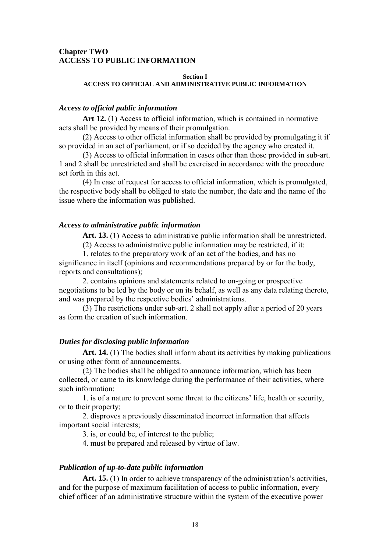## **Chapter TWO ACCESS TO PUBLIC INFORMATION**

#### **Section I ACCESS TO OFFICIAL AND ADMINISTRATIVE PUBLIC INFORMATION**

#### *Access to official public information*

**Art 12.** (1) Access to official information, which is contained in normative acts shall be provided by means of their promulgation.

 (2) Access to other official information shall be provided by promulgating it if so provided in an act of parliament, or if so decided by the agency who created it.

 (3) Access to official information in cases other than those provided in sub-art. 1 and 2 shall be unrestricted and shall be exercised in accordance with the procedure set forth in this act.

 (4) In case of request for access to official information, which is promulgated, the respective body shall be obliged to state the number, the date and the name of the issue where the information was published.

#### *Access to administrative public information*

Art. 13. (1) Access to administrative public information shall be unrestricted.

(2) Access to administrative public information may be restricted, if it:

 1. relates to the preparatory work of an act of the bodies, and has no significance in itself (opinions and recommendations prepared by or for the body, reports and consultations);

 2. contains opinions and statements related to on-going or prospective negotiations to be led by the body or on its behalf, as well as any data relating thereto, and was prepared by the respective bodies' administrations.

 (3) The restrictions under sub-art. 2 shall not apply after a period of 20 years as form the creation of such information.

#### *Duties for disclosing public information*

Art. 14. (1) The bodies shall inform about its activities by making publications or using other form of announcements.

 (2) The bodies shall be obliged to announce information, which has been collected, or came to its knowledge during the performance of their activities, where such information:

 1. is of a nature to prevent some threat to the citizens' life, health or security, or to their property;

 2. disproves a previously disseminated incorrect information that affects important social interests;

3. is, or could be, of interest to the public;

4. must be prepared and released by virtue of law.

#### *Publication of up-to-date public information*

**Art. 15.** (1) In order to achieve transparency of the administration's activities, and for the purpose of maximum facilitation of access to public information, every chief officer of an administrative structure within the system of the executive power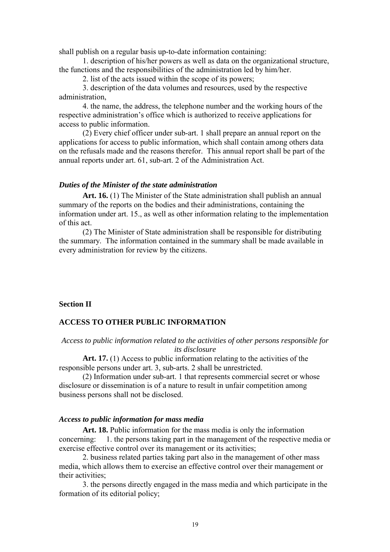shall publish on a regular basis up-to-date information containing:

 1. description of his/her powers as well as data on the organizational structure, the functions and the responsibilities of the administration led by him/her.

2. list of the acts issued within the scope of its powers;

 3. description of the data volumes and resources, used by the respective administration,

 4. the name, the address, the telephone number and the working hours of the respective administration's office which is authorized to receive applications for access to public information.

 (2) Every chief officer under sub-art. 1 shall prepare an annual report on the applications for access to public information, which shall contain among others data on the refusals made and the reasons therefor. This annual report shall be part of the annual reports under art. 61, sub-art. 2 of the Administration Act.

#### *Duties of the Minister of the state administration*

**Art. 16.** (1) The Minister of the State administration shall publish an annual summary of the reports on the bodies and their administrations, containing the information under art. 15., as well as other information relating to the implementation of this act.

 (2) The Minister of State administration shall be responsible for distributing the summary. The information contained in the summary shall be made available in every administration for review by the citizens.

#### **Section II**

#### **ACCESS TO OTHER PUBLIC INFORMATION**

#### *Access to public information related to the activities of other persons responsible for its disclosure*

**Art. 17.** (1) Access to public information relating to the activities of the responsible persons under art. 3, sub-arts. 2 shall be unrestricted.

 (2) Information under sub-art. 1 that represents commercial secret or whose disclosure or dissemination is of a nature to result in unfair competition among business persons shall not be disclosed.

#### *Access to public information for mass media*

**Art. 18.** Public information for the mass media is only the information concerning: 1. the persons taking part in the management of the respective media or exercise effective control over its management or its activities;

 2. business related parties taking part also in the management of other mass media, which allows them to exercise an effective control over their management or their activities;

 3. the persons directly engaged in the mass media and which participate in the formation of its editorial policy;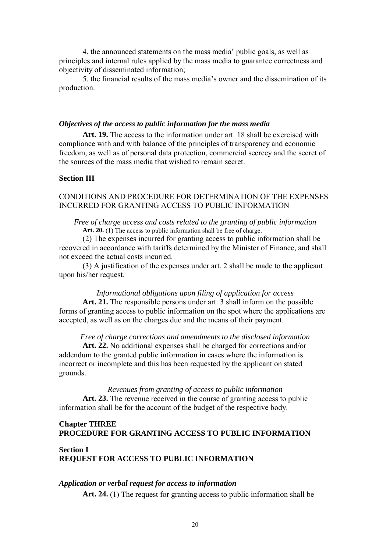4. the announced statements on the mass media' public goals, as well as principles and internal rules applied by the mass media to guarantee correctness and objectivity of disseminated information;

 5. the financial results of the mass media's owner and the dissemination of its production.

#### *Objectives of the access to public information for the mass media*

**Art. 19.** The access to the information under art. 18 shall be exercised with compliance with and with balance of the principles of transparency and economic freedom, as well as of personal data protection, commercial secrecy and the secret of the sources of the mass media that wished to remain secret.

## **Section III**

## CONDITIONS AND PROCEDURE FOR DETERMINATION OF THE EXPENSES INCURRED FOR GRANTING ACCESS TO PUBLIC INFORMATION

#### *Free of charge access and costs related to the granting of public information*  Art. 20. (1) The access to public information shall be free of charge.

 (2) The expenses incurred for granting access to public information shall be recovered in accordance with tariffs determined by the Minister of Finance, and shall not exceed the actual costs incurred.

 (3) A justification of the expenses under art. 2 shall be made to the applicant upon his/her request.

#### *Informational obligations upon filing of application for access*

**Art. 21.** The responsible persons under art. 3 shall inform on the possible forms of granting access to public information on the spot where the applications are accepted, as well as on the charges due and the means of their payment.

#### *Free of charge corrections and amendments to the disclosed information*

**Art. 22.** No additional expenses shall be charged for corrections and/or addendum to the granted public information in cases where the information is incorrect or incomplete and this has been requested by the applicant on stated grounds.

*Revenues from granting of access to public information*  **Art. 23.** The revenue received in the course of granting access to public information shall be for the account of the budget of the respective body.

## **Chapter THREE PROCEDURE FOR GRANTING ACCESS TO PUBLIC INFORMATION**

## **Section I REQUEST FOR ACCESS TO PUBLIC INFORMATION**

#### *Application or verbal request for access to information*

**Art. 24.** (1) The request for granting access to public information shall be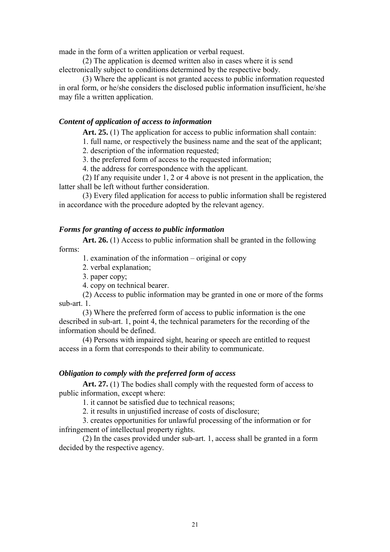made in the form of a written application or verbal request.

 (2) The application is deemed written also in cases where it is send electronically subject to conditions determined by the respective body.

 (3) Where the applicant is not granted access to public information requested in oral form, or he/she considers the disclosed public information insufficient, he/she may file a written application.

## *Content of application of access to information*

Art. 25. (1) The application for access to public information shall contain:

1. full name, or respectively the business name and the seat of the applicant;

2. description of the information requested;

3. the preferred form of access to the requested information;

4. the address for correspondence with the applicant.

(2) If any requisite under 1, 2 or 4 above is not present in the application, the latter shall be left without further consideration.

 (3) Every filed application for access to public information shall be registered in accordance with the procedure adopted by the relevant agency.

#### *Forms for granting of access to public information*

**Art. 26.** (1) Access to public information shall be granted in the following forms:

1. examination of the information – original or copy

- 2. verbal explanation;
- 3. paper copy;
- 4. copy on technical bearer.

 (2) Access to public information may be granted in one or more of the forms sub-art. 1.

 (3) Where the preferred form of access to public information is the one described in sub-art. 1, point 4, the technical parameters for the recording of the information should be defined.

 (4) Persons with impaired sight, hearing or speech are entitled to request access in a form that corresponds to their ability to communicate.

#### *Obligation to comply with the preferred form of access*

Art. 27. (1) The bodies shall comply with the requested form of access to public information, except where:

1. it cannot be satisfied due to technical reasons;

2. it results in unjustified increase of costs of disclosure;

 3. creates opportunities for unlawful processing of the information or for infringement of intellectual property rights.

 (2) In the cases provided under sub-art. 1, access shall be granted in a form decided by the respective agency.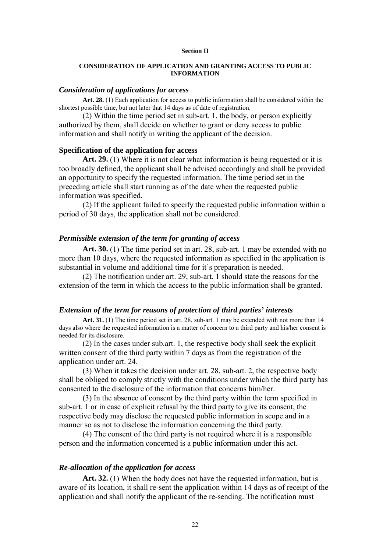#### **Section II**

#### **CONSIDERATION OF APPLICATION AND GRANTING ACCESS TO PUBLIC INFORMATION**

#### *Consideration of applications for access*

**Art. 28.** (1) Each application for access to public information shall be considered within the shortest possible time, but not later that 14 days as of date of registration.

(2) Within the time period set in sub-art. 1, the body, or person explicitly authorized by them, shall decide on whether to grant or deny access to public information and shall notify in writing the applicant of the decision.

#### **Specification of the application for access**

Art. 29. (1) Where it is not clear what information is being requested or it is too broadly defined, the applicant shall be advised accordingly and shall be provided an opportunity to specify the requested information. The time period set in the preceding article shall start running as of the date when the requested public information was specified.

(2) If the applicant failed to specify the requested public information within a period of 30 days, the application shall not be considered.

#### *Permissible extension of the term for granting of access*

**Art. 30.** (1) The time period set in art. 28, sub-art. 1 may be extended with no more than 10 days, where the requested information as specified in the application is substantial in volume and additional time for it's preparation is needed.

(2) The notification under art. 29, sub-art. 1 should state the reasons for the extension of the term in which the access to the public information shall be granted.

#### *Extension of the term for reasons of protection of third parties' interests*

**Art. 31.** (1) The time period set in art. 28, sub-art. 1 may be extended with not more than 14 days also where the requested information is a matter of concern to a third party and his/her consent is needed for its disclosure.

 (2) In the cases under sub.art. 1, the respective body shall seek the explicit written consent of the third party within 7 days as from the registration of the application under art. 24.

 (3) When it takes the decision under art. 28, sub-art. 2, the respective body shall be obliged to comply strictly with the conditions under which the third party has consented to the disclosure of the information that concerns him/her.

 (3) In the absence of consent by the third party within the term specified in sub-art. 1 or in case of explicit refusal by the third party to give its consent, the respective body may disclose the requested public information in scope and in a manner so as not to disclose the information concerning the third party.

 (4) The consent of the third party is not required where it is a responsible person and the information concerned is a public information under this act.

#### *Re-allocation of the application for access*

**Art. 32.** (1) When the body does not have the requested information, but is aware of its location, it shall re-sent the application within 14 days as of receipt of the application and shall notify the applicant of the re-sending. The notification must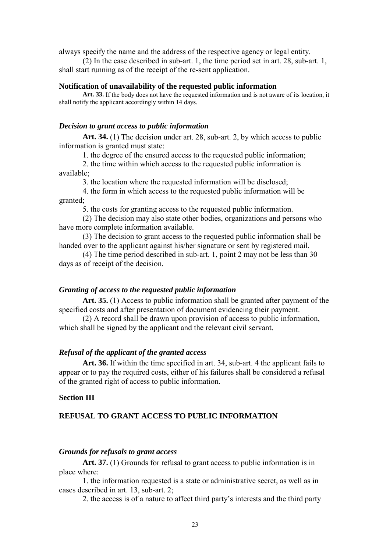always specify the name and the address of the respective agency or legal entity.

(2) In the case described in sub-art. 1, the time period set in art. 28, sub-art. 1, shall start running as of the receipt of the re-sent application.

#### **Notification of unavailability of the requested public information**

**Art. 33.** If the body does not have the requested information and is not aware of its location, it shall notify the applicant accordingly within 14 days.

#### *Decision to grant access to public information*

**Art. 34.** (1) The decision under art. 28, sub-art. 2, by which access to public information is granted must state:

1. the degree of the ensured access to the requested public information;

 2. the time within which access to the requested public information is available;

3. the location where the requested information will be disclosed;

 4. the form in which access to the requested public information will be granted;

5. the costs for granting access to the requested public information.

(2) The decision may also state other bodies, organizations and persons who have more complete information available.

 (3) The decision to grant access to the requested public information shall be handed over to the applicant against his/her signature or sent by registered mail.

 (4) The time period described in sub-art. 1, point 2 may not be less than 30 days as of receipt of the decision.

#### *Granting of access to the requested public information*

**Art. 35.** (1) Access to public information shall be granted after payment of the specified costs and after presentation of document evidencing their payment.

 (2) A record shall be drawn upon provision of access to public information, which shall be signed by the applicant and the relevant civil servant.

#### *Refusal of the applicant of the granted access*

**Art. 36.** If within the time specified in art. 34, sub-art. 4 the applicant fails to appear or to pay the required costs, either of his failures shall be considered a refusal of the granted right of access to public information.

#### **Section III**

## **REFUSAL TO GRANT ACCESS TO PUBLIC INFORMATION**

#### *Grounds for refusals to grant access*

Art. 37. (1) Grounds for refusal to grant access to public information is in place where:

 1. the information requested is a state or administrative secret, as well as in cases described in art. 13, sub-art. 2;

2. the access is of a nature to affect third party's interests and the third party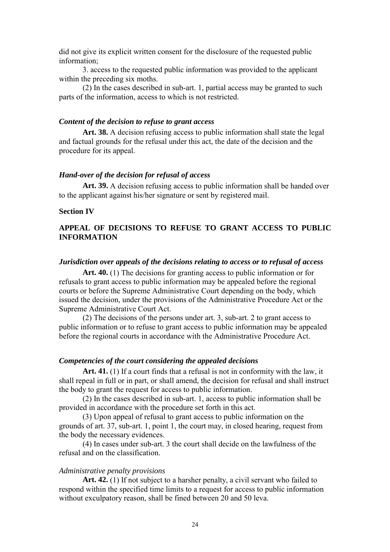did not give its explicit written consent for the disclosure of the requested public information;

 3. access to the requested public information was provided to the applicant within the preceding six moths.

 (2) In the cases described in sub-art. 1, partial access may be granted to such parts of the information, access to which is not restricted.

#### *Content of the decision to refuse to grant access*

**Art. 38.** A decision refusing access to public information shall state the legal and factual grounds for the refusal under this act, the date of the decision and the procedure for its appeal.

#### *Hand-over of the decision for refusal of access*

**Art. 39.** A decision refusing access to public information shall be handed over to the applicant against his/her signature or sent by registered mail.

#### **Section IV**

## **APPEAL OF DECISIONS TO REFUSE TO GRANT ACCESS TO PUBLIC INFORMATION**

## *Jurisdiction over appeals of the decisions relating to access or to refusal of access*

**Art. 40.** (1) The decisions for granting access to public information or for refusals to grant access to public information may be appealed before the regional courts or before the Supreme Administrative Court depending on the body, which issued the decision, under the provisions of the Administrative Procedure Act or the Supreme Administrative Court Act.

 (2) The decisions of the persons under art. 3, sub-art. 2 to grant access to public information or to refuse to grant access to public information may be appealed before the regional courts in accordance with the Administrative Procedure Act.

#### *Competencies of the court considering the appealed decisions*

**Art. 41.** (1) If a court finds that a refusal is not in conformity with the law, it shall repeal in full or in part, or shall amend, the decision for refusal and shall instruct the body to grant the request for access to public information.

 (2) In the cases described in sub-art. 1, access to public information shall be provided in accordance with the procedure set forth in this act.

 (3) Upon appeal of refusal to grant access to public information on the grounds of art. 37, sub-art. 1, point 1, the court may, in closed hearing, request from the body the necessary evidences.

 (4) In cases under sub-art. 3 the court shall decide on the lawfulness of the refusal and on the classification.

#### *Administrative penalty provisions*

**Art. 42.** (1) If not subject to a harsher penalty, a civil servant who failed to respond within the specified time limits to a request for access to public information without exculpatory reason, shall be fined between 20 and 50 leva.